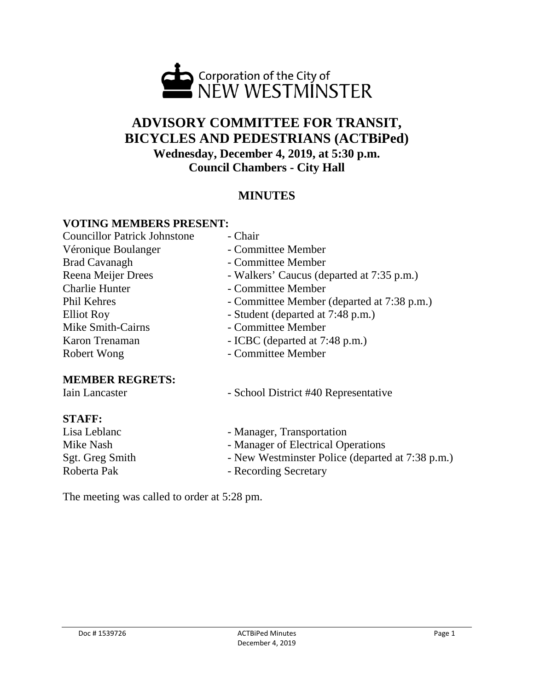

# **ADVISORY COMMITTEE FOR TRANSIT, BICYCLES AND PEDESTRIANS (ACTBiPed) Wednesday, December 4, 2019, at 5:30 p.m. Council Chambers - City Hall**

# **MINUTES**

### **VOTING MEMBERS PRESENT:**

| <b>Councillor Patrick Johnstone</b>      | - Chair                                    |
|------------------------------------------|--------------------------------------------|
| Véronique Boulanger                      | - Committee Member                         |
| <b>Brad Cavanagh</b>                     | - Committee Member                         |
| Reena Meijer Drees                       | - Walkers' Caucus (departed at 7:35 p.m.)  |
| <b>Charlie Hunter</b>                    | - Committee Member                         |
| <b>Phil Kehres</b>                       | - Committee Member (departed at 7:38 p.m.) |
| <b>Elliot Roy</b>                        | - Student (departed at 7:48 p.m.)          |
| Mike Smith-Cairns                        | - Committee Member                         |
| Karon Trenaman                           | - ICBC (departed at 7:48 p.m.)             |
| Robert Wong                              | - Committee Member                         |
| <b>MEMBER REGRETS:</b><br>Iain Lancaster | - School District #40 Representative       |
| <b>STAFF:</b>                            |                                            |
| Lisa Leblanc                             | - Manager, Transportation                  |

- Mike Nash Manager of Electrical Operations<br>Sgt. Greg Smith New Westminster Police (departe
	- New Westminster Police (departed at 7:38 p.m.)
- Roberta Pak Recording Secretary

The meeting was called to order at 5:28 pm.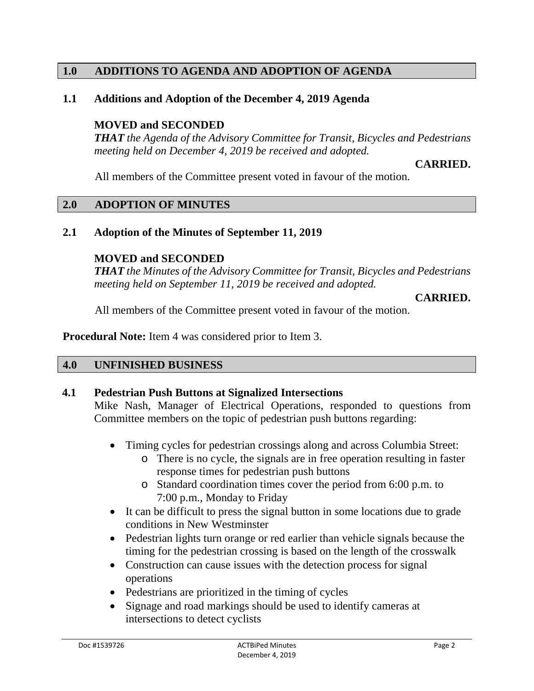# **1.0 ADDITIONS TO AGENDA AND ADOPTION OF AGENDA**

### **1.1 Additions and Adoption of the December 4, 2019 Agenda**

### **MOVED and SECONDED**

*THAT the Agenda of the Advisory Committee for Transit, Bicycles and Pedestrians meeting held on December 4, 2019 be received and adopted.*

### **CARRIED.**

All members of the Committee present voted in favour of the motion.

### **2.0 ADOPTION OF MINUTES**

### **2.1 Adoption of the Minutes of September 11, 2019**

### **MOVED and SECONDED**

*THAT the Minutes of the Advisory Committee for Transit, Bicycles and Pedestrians meeting held on September 11, 2019 be received and adopted.*

#### **CARRIED.**

All members of the Committee present voted in favour of the motion.

**Procedural Note:** Item 4 was considered prior to Item 3.

### **4.0 UNFINISHED BUSINESS**

### **4.1 Pedestrian Push Buttons at Signalized Intersections**

Mike Nash, Manager of Electrical Operations, responded to questions from Committee members on the topic of pedestrian push buttons regarding:

- Timing cycles for pedestrian crossings along and across Columbia Street:
	- o There is no cycle, the signals are in free operation resulting in faster response times for pedestrian push buttons
	- o Standard coordination times cover the period from 6:00 p.m. to 7:00 p.m., Monday to Friday
- It can be difficult to press the signal button in some locations due to grade conditions in New Westminster
- Pedestrian lights turn orange or red earlier than vehicle signals because the timing for the pedestrian crossing is based on the length of the crosswalk
- Construction can cause issues with the detection process for signal operations
- Pedestrians are prioritized in the timing of cycles
- Signage and road markings should be used to identify cameras at intersections to detect cyclists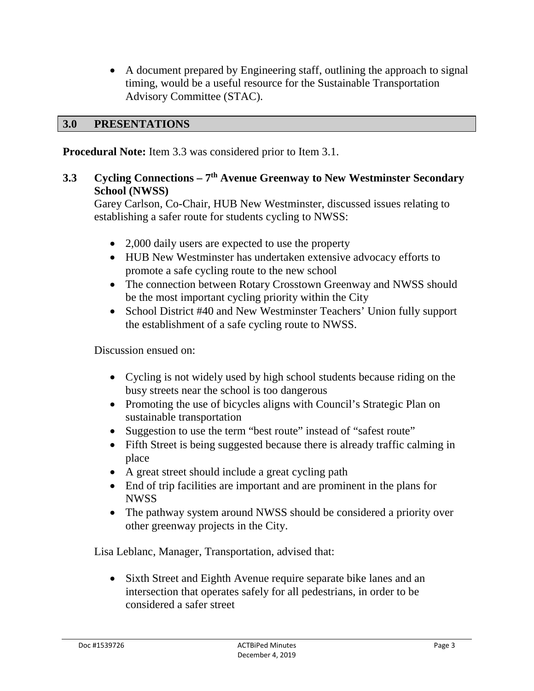• A document prepared by Engineering staff, outlining the approach to signal timing, would be a useful resource for the Sustainable Transportation Advisory Committee (STAC).

### **3.0 PRESENTATIONS**

**Procedural Note:** Item 3.3 was considered prior to Item 3.1.

# **3.3 Cycling Connections – 7th Avenue Greenway to New Westminster Secondary School (NWSS)**

Garey Carlson, Co-Chair, HUB New Westminster, discussed issues relating to establishing a safer route for students cycling to NWSS:

- 2,000 daily users are expected to use the property
- HUB New Westminster has undertaken extensive advocacy efforts to promote a safe cycling route to the new school
- The connection between Rotary Crosstown Greenway and NWSS should be the most important cycling priority within the City
- School District #40 and New Westminster Teachers' Union fully support the establishment of a safe cycling route to NWSS.

Discussion ensued on:

- Cycling is not widely used by high school students because riding on the busy streets near the school is too dangerous
- Promoting the use of bicycles aligns with Council's Strategic Plan on sustainable transportation
- Suggestion to use the term "best route" instead of "safest route"
- Fifth Street is being suggested because there is already traffic calming in place
- A great street should include a great cycling path
- End of trip facilities are important and are prominent in the plans for NWSS
- The pathway system around NWSS should be considered a priority over other greenway projects in the City.

Lisa Leblanc, Manager, Transportation, advised that:

• Sixth Street and Eighth Avenue require separate bike lanes and an intersection that operates safely for all pedestrians, in order to be considered a safer street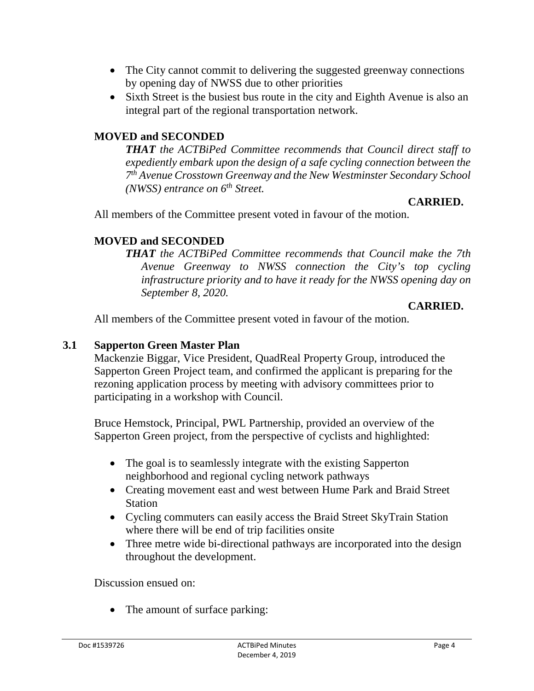- The City cannot commit to delivering the suggested greenway connections by opening day of NWSS due to other priorities
- Sixth Street is the busiest bus route in the city and Eighth Avenue is also an integral part of the regional transportation network.

## **MOVED and SECONDED**

*THAT the ACTBiPed Committee recommends that Council direct staff to expediently embark upon the design of a safe cycling connection between the 7th Avenue Crosstown Greenway and the New Westminster Secondary School (NWSS) entrance on 6th Street.*

### **CARRIED.**

All members of the Committee present voted in favour of the motion.

# **MOVED and SECONDED**

*THAT the ACTBiPed Committee recommends that Council make the 7th Avenue Greenway to NWSS connection the City's top cycling infrastructure priority and to have it ready for the NWSS opening day on September 8, 2020.*

### **CARRIED.**

All members of the Committee present voted in favour of the motion.

### **3.1 Sapperton Green Master Plan**

Mackenzie Biggar, Vice President, QuadReal Property Group, introduced the Sapperton Green Project team, and confirmed the applicant is preparing for the rezoning application process by meeting with advisory committees prior to participating in a workshop with Council.

Bruce Hemstock, Principal, PWL Partnership, provided an overview of the Sapperton Green project, from the perspective of cyclists and highlighted:

- The goal is to seamlessly integrate with the existing Sapperton neighborhood and regional cycling network pathways
- Creating movement east and west between Hume Park and Braid Street **Station**
- Cycling commuters can easily access the Braid Street SkyTrain Station where there will be end of trip facilities onsite
- Three metre wide bi-directional pathways are incorporated into the design throughout the development.

Discussion ensued on:

• The amount of surface parking: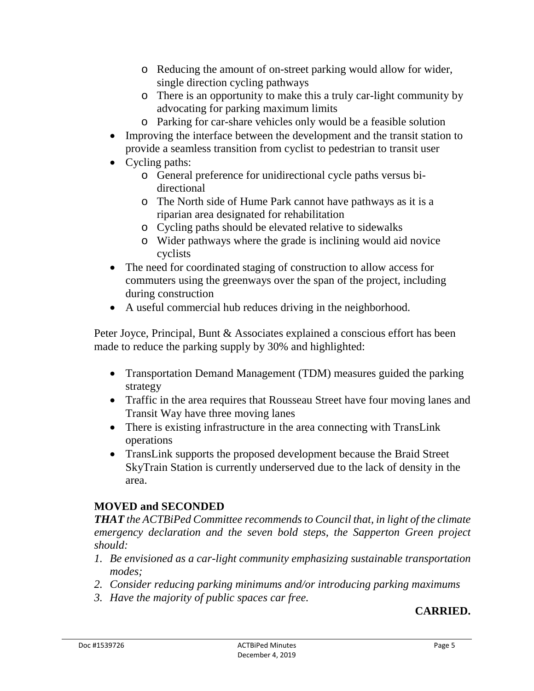- o Reducing the amount of on-street parking would allow for wider, single direction cycling pathways
- o There is an opportunity to make this a truly car-light community by advocating for parking maximum limits
- o Parking for car-share vehicles only would be a feasible solution
- Improving the interface between the development and the transit station to provide a seamless transition from cyclist to pedestrian to transit user
- Cycling paths:
	- o General preference for unidirectional cycle paths versus bidirectional
	- o The North side of Hume Park cannot have pathways as it is a riparian area designated for rehabilitation
	- o Cycling paths should be elevated relative to sidewalks
	- o Wider pathways where the grade is inclining would aid novice cyclists
- The need for coordinated staging of construction to allow access for commuters using the greenways over the span of the project, including during construction
- A useful commercial hub reduces driving in the neighborhood.

Peter Joyce, Principal, Bunt & Associates explained a conscious effort has been made to reduce the parking supply by 30% and highlighted:

- Transportation Demand Management (TDM) measures guided the parking strategy
- Traffic in the area requires that Rousseau Street have four moving lanes and Transit Way have three moving lanes
- There is existing infrastructure in the area connecting with TransLink operations
- TransLink supports the proposed development because the Braid Street SkyTrain Station is currently underserved due to the lack of density in the area.

# **MOVED and SECONDED**

*THAT the ACTBiPed Committee recommends to Council that, in light of the climate emergency declaration and the seven bold steps, the Sapperton Green project should:*

- *1. Be envisioned as a car-light community emphasizing sustainable transportation modes;*
- *2. Consider reducing parking minimums and/or introducing parking maximums*
- *3. Have the majority of public spaces car free.*

# **CARRIED.**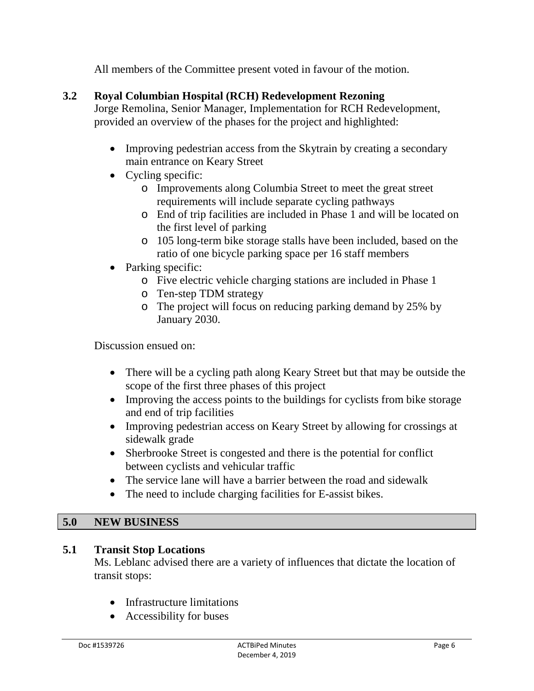All members of the Committee present voted in favour of the motion.

# **3.2 Royal Columbian Hospital (RCH) Redevelopment Rezoning**

Jorge Remolina, Senior Manager, Implementation for RCH Redevelopment, provided an overview of the phases for the project and highlighted:

- Improving pedestrian access from the Skytrain by creating a secondary main entrance on Keary Street
- Cycling specific:
	- o Improvements along Columbia Street to meet the great street requirements will include separate cycling pathways
	- o End of trip facilities are included in Phase 1 and will be located on the first level of parking
	- o 105 long-term bike storage stalls have been included, based on the ratio of one bicycle parking space per 16 staff members
- Parking specific:
	- o Five electric vehicle charging stations are included in Phase 1
	- o Ten-step TDM strategy
	- o The project will focus on reducing parking demand by 25% by January 2030.

Discussion ensued on:

- There will be a cycling path along Keary Street but that may be outside the scope of the first three phases of this project
- Improving the access points to the buildings for cyclists from bike storage and end of trip facilities
- Improving pedestrian access on Keary Street by allowing for crossings at sidewalk grade
- Sherbrooke Street is congested and there is the potential for conflict between cyclists and vehicular traffic
- The service lane will have a barrier between the road and sidewalk
- The need to include charging facilities for E-assist bikes.

### **5.0 NEW BUSINESS**

### **5.1 Transit Stop Locations**

Ms. Leblanc advised there are a variety of influences that dictate the location of transit stops:

- Infrastructure limitations
- Accessibility for buses